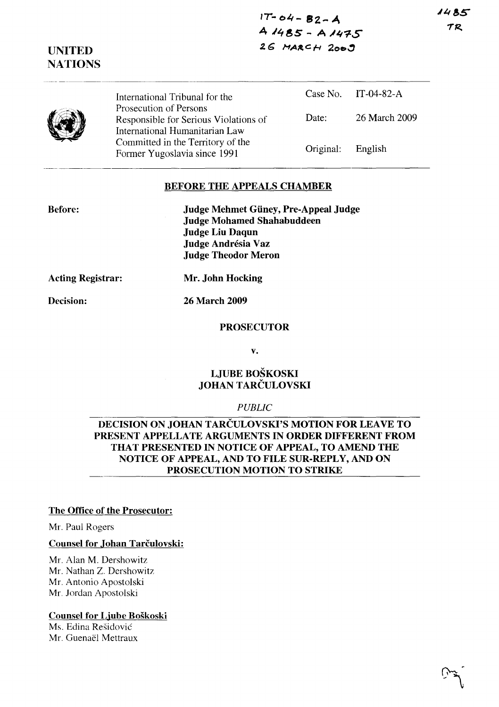1485 TR

**IT ... 04- SZ- A <sup>4</sup>***'48S* **- <sup>A</sup>.IJi"l-S**  26 MARCH 2009

**UNITED NATIONS** 

> International Tribunal for the Prosecution of Persons Case No. IT-04-82-A Responsible for Serious Violations of International Humanitarian Law Committed in the Territory of the Former Yugoslavia since 1991 Date: 26 March 2009 Original: English

### **BEFORE THE APPEALS CHAMBER**

**Before:** 

**Judge Mehmet Giiney, Pre-Appeal Judge Judge Mohamed Shahabuddeen Judge Liu Daqun Judge Andresia Vaz Judge Theodor Meron** 

**Acting Registrar:** 

**Mr. John Hocking** 

**Decision:** 

**26 March 2009** 

#### **PROSECUTOR**

**v.** 

### **LJUBE BOSKOSKI JOHAN TARCULOVSKI**

### *PUBLIC*

## **DECISION ON JOHAN TARCULOVSKI'S MOTION FOR LEAVE TO PRESENT APPELLATE ARGUMENTS IN ORDER DIFFERENT FROM THAT PRESENTED IN NOTICE OF APPEAL, TO AMEND THE NOTICE OF APPEAL, AND TO FILE SUR-REPLY, AND ON PROSECUTION MOTION TO STRIKE**

### **The Office of the Prosecutor:**

Mr. Paul Rogcrs

#### **Counsel for Johan Tarčulovski:**

Mr. Alan M. Dershowitz Mr. Nathan Z. Dershowitz Mr. Antonio Apostolski Mr. Jordan Apostolski

### **Counsel for Ljube Boskoski**

Ms. Edina Residovic Mr. Guenaël Mettraux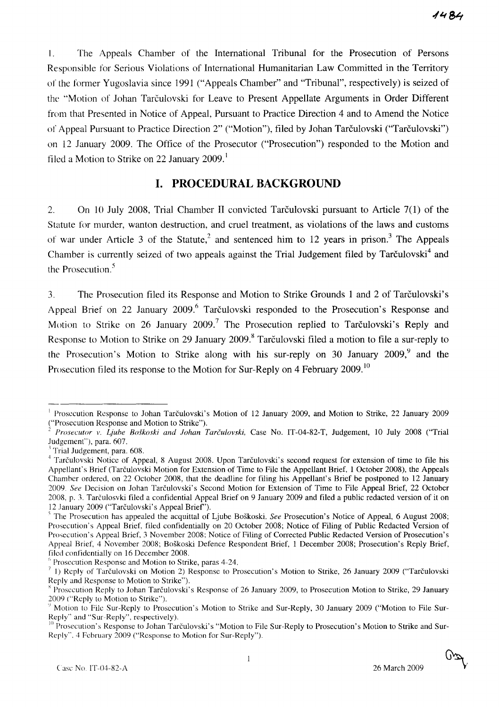I. The Appeals Chamber of the International Tribunal for the Prosecution of Persons Responsible for Serious Violations of International Humanitarian Law Committed in the Territory of the former Yugoslavia since 1991 ("Appeals Chamber" and "Tribunal", respectively) is seized of the "Motion of Johan Tarculovski for Leave to Present Appellate Arguments in Order Different from that Presented in Notice of Appeal, Pursuant to Practice Direction 4 and to Amend the Notice of Appeal Pursuant to Practice Direction 2" ("Motion"), filed by Johan Tarčulovski ("Tarčulovski") on 12 January 2009. The Office of the Prosecutor ("Prosecution") responded to the Motion and filed a Motion to Strike on 22 January 2009.<sup>1</sup>

## **I. PROCEDURAL BACKGROUND**

2. On 10 July 2008, Trial Chamber II convicted Tarculovski pursuant to Article 7(1) of the Statute for murder, wanton destruction, and cruel treatment, as violations of the laws and customs of war under Article 3 of the Statute,<sup>2</sup> and sentenced him to 12 years in prison.<sup>3</sup> The Appeals Chamber is currently seized of two appeals against the Trial Judgement filed by Tarculovski<sup>4</sup> and the Prosecution.<sup>5</sup>

3. The Prosecution filed its Response and Motion to Strike Grounds 1 and 2 of Tarculovski's Appeal Brief on 22 January 2009.<sup>6</sup> Tarčulovski responded to the Prosecution's Response and Motion to Strike on 26 January 2009.<sup>7</sup> The Prosecution replied to Tarculovski's Reply and Response to Motion to Strike on 29 January 2009.<sup>8</sup> Tarčulovski filed a motion to file a sur-reply to the Prosecution's Motion to Strike along with his sur-reply on 30 January 2009,<sup>9</sup> and the Prosecution filed its response to the Motion for Sur-Reply on 4 February 2009.<sup>10</sup>

<sup>&</sup>lt;sup>1</sup> Prosecution Response to Johan Tarčulovski's Motion of 12 January 2009, and Motion to Strike, 22 January 2009 ("Prosecution Response and Motion to Strike").

*<sup>2</sup> Prosecutor v. Ljuhe Boskoski and lohan Tarculovski,* Case No. IT-04-82-T, Judgement, 10 July 2008 ("Trial Judgement"), para. 607.

Trial Judgement, para. 608.

<sup>&</sup>lt;sup>4</sup> Tarčulovski Notice of Appeal, 8 August 2008. Upon Tarčulovski's second request for extension of time to file his Appellant's Brief (Tarculovski Motion for Extension of Time to File the Appellant Brief, 1 October 2008), the Appeals Chamber ordered, on 22 October 2008, that the deadline for filing his Appellant's Brief be postponed to 12 January 2009. *See* Decision on Johan Tarculovski's Second Motion for Extension of Time to File Appeal Brief, 22 October 2008, p. 3. Tarculosvki filed a confidential Appeal Brief on 9 January 2009 and filed a public redacted version of it on 12 January 2009 ("Tarculovski's Appeal Brief').

<sup>&</sup>lt;sup>5</sup> The Prosecution has appealed the acquittal of Ljube Boškoski. *See* Prosecution's Notice of Appeal, 6 August 2008; Prosecution's Appeal Brief, filed confidentially on 20 October 2008; Notice of Filing of Public Redacted Version of Prosecution's Appeal Brief, 3 November 2008; Notice of Filing of Corrected Public Redacted Version of Prosecution's Appeal Brief, 4 November 2008; Boskoski Defence Respondent Brief, 1 December 2008; Prosecution's Reply Brief, filed confidentially on 16 December 2008.

 $\beta$  Prosecution Response and Motion to Strike, paras 4-24.

 $^7$  1) Reply of Tarculovski on Motion 2) Response to Prosecution's Motion to Strike, 26 January 2009 ("Tarculovski Reply and Response to Motion to Strike").

x Prosecution Reply to Johan Tarculovski's Response of 26 January 2009, to Prosecution Motion to Strike, 29 January 2009 ("Reply to Motion to Strike").

<sup>&</sup>lt;sup>9</sup> Motion to File Sur-Reply to Prosecution's Motion to Strike and Sur-Reply, 30 January 2009 ("Motion to File Sur-Reply" and "Sur-Reply", respectively).

<sup>&</sup>lt;sup>10</sup> Prosecution's Response to Johan Tarčulovski's "Motion to File Sur-Reply to Prosecution's Motion to Strike and Sur-Reply", 4 February 2009 ("Response to Motion for Sur-Reply").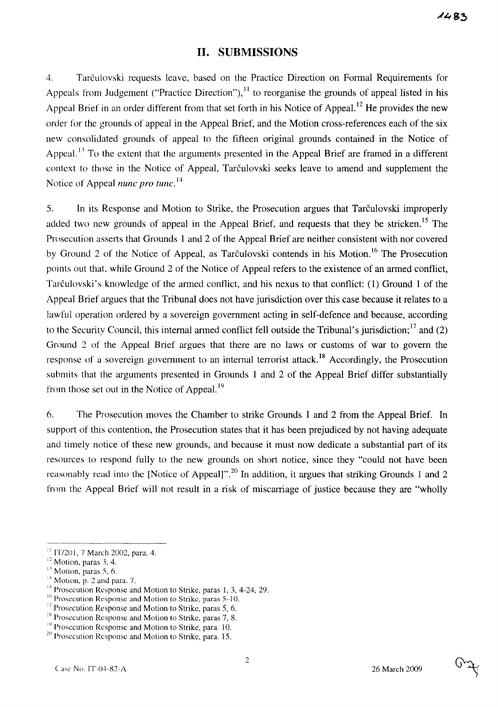## **H. SUBMISSIONS**

4. Tarculovski requests leave, based on the Practice Direction on Fonnal Requirements for Appeals from Judgement ("Practice Direction"),  $^{11}$  to reorganise the grounds of appeal listed in his Appeal Brief in an order different from that set forth in his Notice of Appeal.<sup>12</sup> He provides the new order for the grounds of appeal in the Appeal Brief, and the Motion cross-references each of the six new consolidated grounds of appeal to the fifteen original grounds contained in the Notice of Appeal.<sup>13</sup> To the extent that the arguments presented in the Appeal Brief are framed in a different context to those in the Notice of Appeal, Tarčulovski seeks leave to amend and supplement the Notice of Appeal *nunc pro tunc*.<sup>14</sup>

5. **In** its Response and Motion to Strike, the Prosecution argues that Tarculovski improperly added two new grounds of appeal in the Appeal Brief, and requests that they be stricken.<sup>15</sup> The Prosecution asserts that Grounds 1 and 2 of the Appeal Brief are neither consistent with nor covered by Ground 2 of the Notice of Appeal, as Tarčulovski contends in his Motion.<sup>16</sup> The Prosecution points out that, while Ground 2 of the Notice of Appeal refers to the existence of an anned conflict, Tarčulovski's knowledge of the armed conflict, and his nexus to that conflict: (1) Ground 1 of the Appeal Brief argues that the Tribunal does not have jurisdiction over this case because it relates to a lawful operation ordered by a sovereign government acting in self-defence and because, according to the Security Council, this internal armed conflict fell outside the Tribunal's jurisdiction;  $^{17}$  and (2) Ground 2 of the Appeal Brief argues that there are no laws or customs of war to govern the response of a sovereign government to an internal terrorist attack.<sup>18</sup> Accordingly, the Prosecution submits that the arguments presented in Grounds 1 and 2 of the Appeal Brief differ substantially from those set out in the Notice of Appeal. 19

6. The Prosecution moves the Chamber to strike Grounds 1 and 2 from the Appeal Brief. **In**  support of this contention, the Prosecution states that it has been prejudiced by not having adequate and timely notice of these new grounds, and because it must now dedicate a substantial part of its resources to respond fully to the new grounds on short notice, since they "could not have been reasonably read into the [Notice of Appeal]".20 **In** addition, it argues that striking Grounds 1 and 2 from the Appeal Brief will not result in a risk of miscarriage of justice because they are "wholly

 $11$ IT/201, 7 March 2002, para. 4.

<sup>&</sup>lt;sup>12</sup> Motion, paras 3, 4.

 $13$  Motion, paras 5, 6.

 $14$  Motion, p. 2 and para. 7.

<sup>&</sup>lt;sup>15</sup> Prosecution Response and Motion to Strike, paras 1, 3, 4-24, 29.

 $16$  Prosecution Response and Motion to Strike, paras 5-10.

<sup>&</sup>lt;sup>17</sup> Prosecution Response and Motion to Strike, paras 5, 6.

 $18$  Prosecution Response and Motion to Strike, paras 7, 8.

<sup>&</sup>lt;sup>19</sup> Prosecution Response and Motion to Strike, para. 10.

 $20$  Prosecution Response and Motion to Strike, para. 15.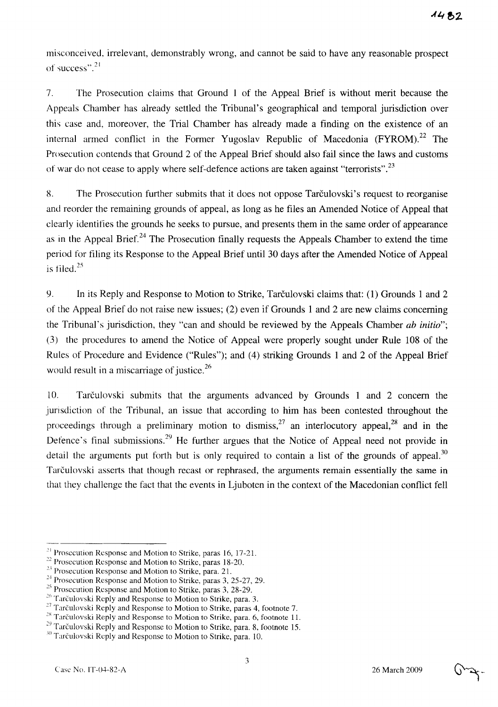misconceived, irrelevant, demonstrably wrong, and cannot be said to have any reasonable prospect of success".  $21$ 

7. The Prosecution claims that Ground 1 of the Appeal Brief is without merit because the Appeals Chamber has already settled the Tribunal's geographical and temporal jurisdiction over this case and, moreover, the Trial Chamber has already made a finding on the existence of an internal armed conflict in the Former Yugoslav Republic of Macedonia  $(FYROM)^{22}$  The Prosecution contends that Ground 2 of the Appeal Brief should also fail since the laws and customs of war do not cease to apply where self-defence actions are taken against "terrorists".<sup>23</sup>

8. The Prosecution further submits that it does not oppose Tarculovski's request to reorganise and reorder the remaining grounds of appeal, as long as he files an Amended Notice of Appeal that clearly identifies the grounds he seeks to pursue, and presents them in the same order of appearance as in the Appeal Brief.<sup>24</sup> The Prosecution finally requests the Appeals Chamber to extend the time period for filing its Response to the Appeal Brief until 30 days after the Amended Notice of Appeal is filed. 25

9. In its Reply and Response to Motion to Strike, Tarculovski claims that: (1) Grounds I and 2 of the Appeal Brief do not raise new issues; (2) even if Grounds 1 and 2 are new claims concerning the Tribunal's jurisdiction, they "can and should be reviewed by the Appeals Chamber *ab initio";*  (3) the procedures to amend the Notice of Appeal were properly sought under Rule 108 of the Rules of Procedure and Evidence ("Rules"); and (4) striking Grounds 1 and 2 of the Appeal Brief would result in a miscarriage of justice.<sup>26</sup>

10. Tarculovski submits that the arguments advanced by Grounds 1 and 2 concern the jurisdiction of the Tribunal, an issue that according to him has been contested throughout the proceedings through a preliminary motion to dismiss,  $27$  an interlocutory appeal,  $28$  and in the Defence's final submissions.<sup>29</sup> He further argues that the Notice of Appeal need not provide in detail the arguments put forth but is only required to contain a list of the grounds of appeal.<sup>30</sup> Tarculovski asserts that though recast or rephrased, the arguments remain essentially the same in that they challenge the fact that the events in Ljuboten in the context of the Macedonian conflict fell

<sup>&</sup>lt;sup>21</sup> Prosecution Response and Motion to Strike, paras 16, 17-21.

 $22$  Prosecution Response and Motion to Strike, paras 18-20.

<sup>&</sup>lt;sup>23</sup> Prosecution Response and Motion to Strike, para. 21.

 $24$  Prosecution Response and Motion to Strike, paras 3, 25-27, 29.

 $25$  Prosecution Response and Motion to Strike, paras 3, 28-29.

<sup>&</sup>lt;sup>26</sup> Tarčulovski Reply and Response to Motion to Strike, para. 3.

<sup>&</sup>lt;sup>27</sup> Tarčulovski Reply and Response to Motion to Strike, paras 4, footnote 7.

<sup>&</sup>lt;sup>28</sup> Tarčulovski Reply and Response to Motion to Strike, para. 6, footnote 11.

<sup>&</sup>lt;sup>29</sup> Tarčulovski Reply and Response to Motion to Strike, para. 8, footnote 15.

<sup>30</sup> Tarčulovski Reply and Response to Motion to Strike, para. 10.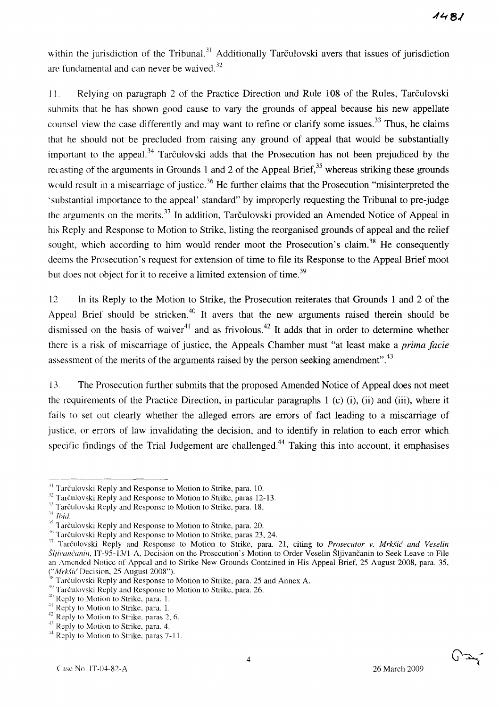within the jurisdiction of the Tribunal.<sup>31</sup> Additionally Tarculovski avers that issues of jurisdiction are fundamental and can never be waived.<sup>32</sup>

11. Relying on paragraph 2 of the Practice Direction and Rule 108 of the Rules, Tarculovski submits that he has shown good cause to vary the grounds of appeal because his new appellate counsel view the case differently and may want to refine or clarify some issues.<sup>33</sup> Thus, he claims that he should not be precluded from raising any ground of appeal that would be substantially important to the appeal.<sup>34</sup> Tarculovski adds that the Prosecution has not been prejudiced by the recasting of the arguments in Grounds 1 and 2 of the Appeal Brief,  $35$  whereas striking these grounds would result in a miscarriage of justice.<sup>36</sup> He further claims that the Prosecution "misinterpreted the 'substantial importance to the appeal' standard" by improperly requesting the Tribunal to pre-judge the arguments on the merits.<sup>37</sup> In addition, Tarčulovski provided an Amended Notice of Appeal in his Reply and Response to Motion to Strike, listing the reorganised grounds of appeal and the relief sought, which according to him would render moot the Prosecution's claim.<sup>38</sup> He consequently deems the Prosecution's request for extension of time to file its Response to the Appeal Brief moot but does not object for it to receive a limited extension of time.<sup>39</sup>

12 In its Reply to the Motion to Strike, the Prosecution reiterates that Grounds 1 and 2 of the Appeal Brief should be stricken.<sup>40</sup> It avers that the new arguments raised therein should be dismissed on the basis of waiver<sup>41</sup> and as frivolous.<sup>42</sup> It adds that in order to determine whether there is a risk of miscarriage of justice, the Appeals Chamber must "at least make a *prima facie*  assessment of the merits of the arguments raised by the person seeking amendment".<sup>43</sup>

13 The Prosecution further submits that the proposed Amended Notice of Appeal does not meet the requirements of the Practice Direction, in particular paragraphs I (c) (i), (ii) and (iii), where it fails to set out clearly whether the alleged errors are errors of fact leading to a miscarriage of justice, or errors of law invalidating the decision, and to identify in relation to each error which specific findings of the Trial Judgement are challenged.<sup>44</sup> Taking this into account, it emphasises

حية (م)

<sup>&</sup>lt;sup>31</sup> Tarčulovski Reply and Response to Motion to Strike, para. 10.

<sup>&</sup>lt;sup>32</sup> Tarčulovski Reply and Response to Motion to Strike, paras 12-13.

<sup>&</sup>lt;sup>33</sup> Tarčulovski Reply and Response to Motion to Strike, para. 18.

 $34$  *[hid.*]

<sup>&</sup>lt;sup>35</sup> Tarčulovski Reply and Response to Motion to Strike, para. 20.

<sup>&</sup>lt;sup>36</sup> Tarčulovski Reply and Response to Motion to Strike, paras 23, 24.

<sup>&</sup>lt;sup>37</sup> Tarčulovski Reply and Response to Motion to Strike, para. 21, citing to *Prosecutor v. Mrkšić and Veselin* Šljivančanin, IT-95-13/1-A, Decision on the Prosecution's Motion to Order Veselin Šljivančanin to Seek Leave to File an Amended Notice of Appeal and to Strike New Grounds Contained in His Appeal Brief, 25 August 2008, para. 35, ("Mrkšić Decision, 25 August 2008").

<sup>&</sup>lt;sup>38</sup> Tarčulovski Reply and Response to Motion to Strike, para. 25 and Annex A.

<sup>&</sup>lt;sup>39</sup> Tarčulovski Reply and Response to Motion to Strike, para. 26.

<sup>40</sup> Reply to Motion to Strike, para. 1.

 $\frac{1}{1}$  Reply to Motion to Strike, para. 1.

<sup>&</sup>lt;sup>42</sup> Reply to Motion to Strike, paras 2, 6.

<sup>&</sup>lt;sup>43</sup> Reply to Motion to Strike, para. 4.

<sup>&</sup>lt;sup>44</sup> Reply to Motion to Strike, paras 7-11.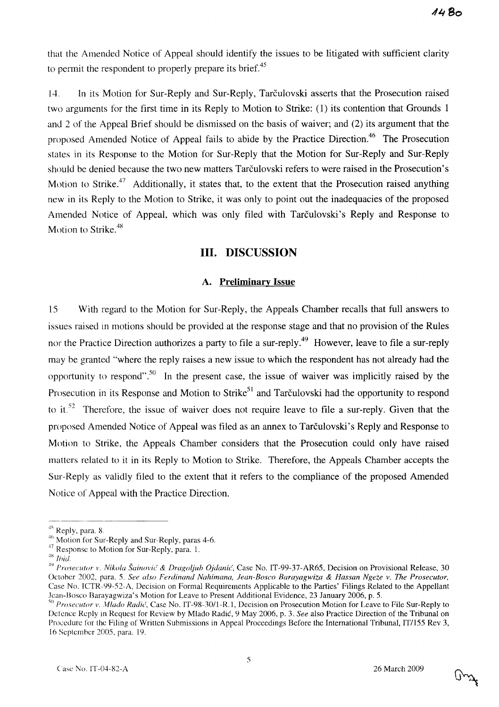that the Amended Notice of Appeal should identify the issues to be litigated with sufficient clarity to permit the respondent to properly prepare its brief.<sup>45</sup>

14. In its Motion for Sur-Reply and Sur-Reply, Tarculovski asserts that the Prosecution raised two arguments for the first time in its Reply to Motion to Strike: (1) its contention that Grounds I and 2 of the Appeal Brief should be dismissed on the basis of waiver; and (2) its argument that the proposed Amended Notice of Appeal fails to abide by the Practice Direction.<sup>46</sup> The Prosecution states in its Response to the Motion for Sur-Reply that the Motion for Sur-Reply and Sur-Reply should be denied because the two new matters Tarculovski refers to were raised in the Prosecution's Motion to Strike.<sup>47</sup> Additionally, it states that, to the extent that the Prosecution raised anything new in its Reply to the Motion to Strike, it was only to point out the inadequacies of the proposed Amended Notice of Appeal, which was only filed with Tarculovski's Reply and Response to Motion to Strike.<sup>48</sup>

## **Ill. DISCUSSION**

## **A. Preliminary Issue**

15 With regard to the Motion for Sur-Reply, the Appeals Chamber recalls that full answers to issues raised in motions should be provided at the response stage and that no provision of the Rules nor the Practice Direction authorizes a party to file a sur-reply.<sup>49</sup> However, leave to file a sur-reply may be granted "where the reply raises a new issue to which the respondent has not already had the opportunity to respond".50 **In** the present case, the issue of waiver was implicitly raised by the Prosecution in its Response and Motion to Strike<sup>51</sup> and Tarčulovski had the opportunity to respond to it.<sup>52</sup> Therefore, the issue of waiver does not require leave to file a sur-reply. Given that the proposed Amended Notice of Appeal was filed as an annex to Tarculovski's Reply and Response to Motion to Strike, the Appeals Chamber considers that the Prosecution could only have raised matters related to it in its Reply to Motion to Strike. Therefore, the Appeals Chamber accepts the Sur-Reply as validly filed to the extent that it refers to the compliance of the proposed Amended Notice of Appeal with the Practice Direction.

 $45$  Reply, para. 8.

 $46$  Motion for Sur-Reply and Sur-Reply, paras 4-6.

<sup>&</sup>lt;sup>47</sup> Response to Motion for Sur-Reply, para. 1.

<sup>&</sup>lt;sup>48</sup> *Ibid.* 

<sup>&</sup>lt;sup>49</sup> Prosecutor v. Nikola Šainović & *Dragoljub Ojdanić*, Case No. IT-99-37-AR65, Decision on Provisional Release, 30 October 2002, para. 5. *See also Ferdinand Nahimana, Jean-Bosco Barayagwiza* & *Hassan Ngeze v. The Prosecutor,*  Case No. ICTR-99-52-A, Decision on Formal Requirements Applicable to the Parties' Filings Related to the Appellant Jean-Hosco Barayagwiza's Motion for Leave to Present Additional Evidence, 23 January 2006, p. 5.

<sup>&</sup>lt;sup>50</sup> Prosecutor v. Mlado Radić, Case No. IT-98-30/1-R.1, Decision on Prosecution Motion for Leave to File Sur-Reply to Defence Reply in Request for Review by Mlado Radic, 9 May 2006, p. 3. *See* also Practice Direction of the Tribunal on Procedure for the Filing of Written Submissions in Appeal Proceedings Before the International Tribunal, IT/155 Rev 3, 16 September 2005, para, 19.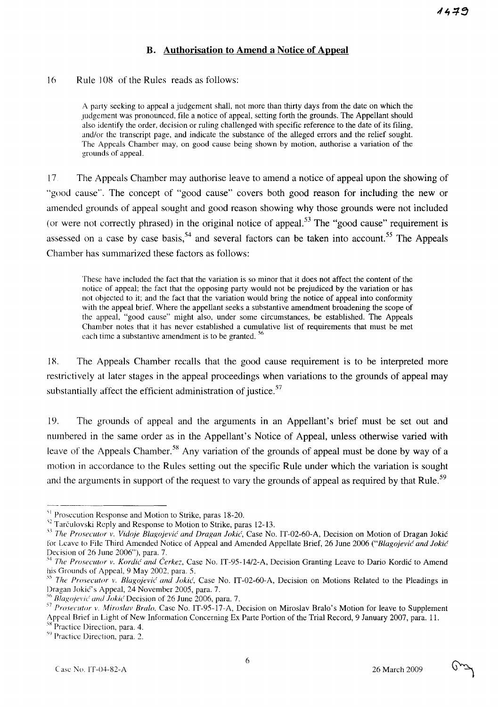# **B. Authorisation to Amend a Notice of Appeal**

16 Rule 108 of the Rules reads as follows:

A party seeking to appeal a judgement shall, not more than thirty days from the date on which the Judgement was pronounced, file a notice of appeal, setting forth the grounds. The Appellant should also identify the order, decision or ruling challenged with specific reference to the date of its filing, and/or the transcript page, and indicate the substance of the alleged errors and the relief sought. The Appeals Chamber may, on good cause being shown by motion, authorise a variation of the grounds of appeal.

17 The Appeals Chamber may authorise leave to amend a notice of appeal upon the showing of "good cause". The concept of "good cause" covers both good reason for including the new or amended grounds of appeal sought and good reason showing why those grounds were not included (or were not correctly phrased) in the original notice of appeal.<sup>53</sup> The "good cause" requirement is assessed on a case by case basis,<sup>54</sup> and several factors can be taken into account.<sup>55</sup> The Appeals Chamber has summarized these factors as follows:

These have included the fact that the variation is so minor that it does not affect the content of the notice of appeal; the fact that the opposing party would not be prejudiced by the variation or has not ohjected to it; and the fact that the variation would bring the notice of appeal into conformity with the appeal brief. Where the appellant seeks a substantive amendment broadening the scope of the appeal, "good cause" might also, under some circumstances, be established. The Appeals Chamber notes that it has never established a cumulative list of requirements that must be met each time a substantive amendment is to be granted.<sup>56</sup>

18. The Appeals Chamber recalls that the good cause requirement is to be interpreted more restrictively at later stages in the appeal proceedings when variations to the grounds of appeal may substantially affect the efficient administration of justice. $57$ 

19. The grounds of appeal and the arguments in an Appellant's brief must be set out and numbered in the same order as in the Appellant's Notice of Appeal, unless otherwise varied with leave of the Appeals Chamber.<sup>58</sup> Any variation of the grounds of appeal must be done by way of a motion in accordance to the Rules setting out the specific Rule under which the variation is sought and the arguments in support of the request to vary the grounds of appeal as required by that Rule.<sup>59</sup>

<sup>&</sup>lt;sup>51</sup> Prosecution Response and Motion to Strike, paras 18-20.

<sup>&</sup>lt;sup>52</sup> Tarčulovski Reply and Response to Motion to Strike, paras 12-13.

<sup>&</sup>lt;sup>53</sup> The Prosecutor v. Vidoje Blagojević and Dragan Jokić, Case No. IT-02-60-A, Decision on Motion of Dragan Jokić for Leave to File Third Amended Notice of Appeal and Amended Appellate Brief, 26 June 2006 *("Blagojevic and Jokic*  Decision of 26 June 2006"), para. 7.

<sup>&</sup>lt;sup>54</sup> The Prosecutor v. Kordić and Čerkez, Case No. IT-95-14/2-A, Decision Granting Leave to Dario Kordić to Amend his Grounds of Appeal, 9 May 2002, para. 5.

<sup>&</sup>lt;sup>55</sup> The Prosecutor v. Blagojević and *Jokić*, Case No. IT-02-60-A, Decision on Motions Related to the Pleadings in Dragan Jokić's Appeal, 24 November 2005, para. 7.

Blagojević and Jokić Decision of 26 June 2006, para. 7.

*<sup>57</sup> Prosecutor v. Miroslav Bralo,* Case No. IT-95-17-A, Decision on Miroslav Bralo's Motion for leave to Supplement Appeal Brief in Light of New Information Concerning Ex Parte Portion of the Trial Record, 9 January 2007, para. 11.

Practice Direction, para. 4.

<sup>&</sup>lt;sup>59</sup> Practice Direction, para. 2.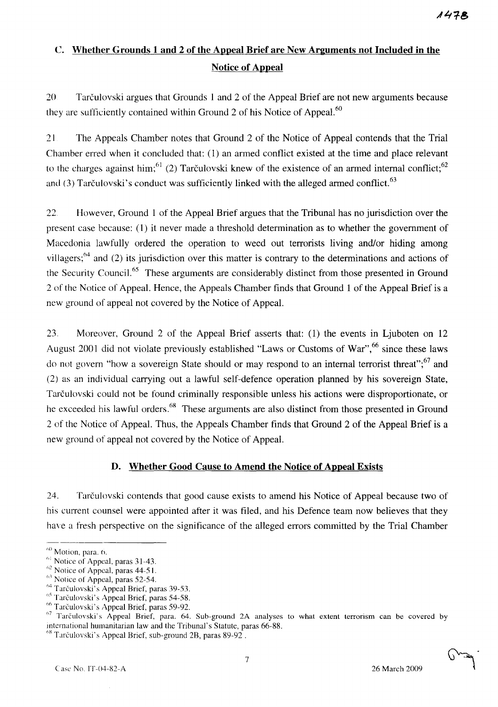# C. **Whether Grounds 1 and 2 of the Appeal Brief are New Arguments not Included in the Notice of Appeal**

20 Tarculovski argues that Grounds 1 and 2 of the Appeal Brief are not new arguments because they are sufficiently contained within Ground 2 of his Notice of Appeal. $60$ 

21 The Appeals Chamber notes that Ground 2 of the Notice of Appeal contends that the Trial Chamber erred when it concluded that: (1) an armed conflict existed at the time and place relevant to the charges against him;<sup>61</sup> (2) Tarculovski knew of the existence of an armed internal conflict;<sup>62</sup> and (3) Tarculovski's conduct was sufficiently linked with the alleged armed conflict.  $63$ 

22. However, Ground 1 of the Appeal Brief argues that the Tribunal has no jurisdiction over the present case because: (1) it never made a threshold determination as to whether the government of Macedonia lawfully ordered the operation to weed out terrorists living and/or hiding among villagers; $64$  and (2) its jurisdiction over this matter is contrary to the determinations and actions of the Security Council.<sup>65</sup> These arguments are considerably distinct from those presented in Ground 2 of the Notice of Appeal. Hence, the Appeals Chamber finds that Ground 1 of the Appeal Brief is a new ground of appeal not covered by the Notice of Appeal.

23. Moreover, Ground 2 of the Appeal Brief asserts that: (1) the events in Ljuboten on 12 August 2001 did not violate previously established "Laws or Customs of War",<sup>66</sup> since these laws do not govern "how a sovereign State should or may respond to an internal terrorist threat";<sup>67</sup> and (2) as an individual carrying out a lawful self-defence operation planned by his sovereign State, Tarculovski could not be found criminally responsible unless his actions were disproportionate, or he exceeded his lawful orders.<sup>68</sup> These arguments are also distinct from those presented in Ground 2 of the Notice of Appeal. Thus, the Appeals Chamber finds that Ground 2 of the Appeal Brief is a new ground of appeal not covered by the Notice of Appeal.

## **D. Whether Good Cause to Amend the Notice of Appeal Exists**

24. Tarculovski contends that good cause exists to amend his Notice of Appeal because two of his current counsel were appointed after it was filed, and his Defence team now believes that they have a fresh perspective on the significance of the alleged errors committed by the Trial Chamber



 $60$  Motion, para.  $6$ .

 $\frac{61}{100}$  Notice of Appeal, paras 31-43.

 $62$  Notice of Appeal, paras 44-51.

 $^{63}$  Notice of Appeal, paras 52-54.

<sup>&</sup>lt;sup>64</sup> Tarčulovski<sup>3</sup>s Appeal Brief, paras 39-53.

 $^{65}$  Tarculovski's Appeal Brief, paras 54-58.

 $<sup>66</sup>$  Tarčulovski's Appeal Brief, paras 59-92.</sup>

<sup>&</sup>lt;sup>67</sup> Tarčulovski's Appeal Brief, para. 64. Sub-ground 2A analyses to what extent terrorism can be covered by mternational humanitarian law and the Tribunal's Statute, paras 66-88.

 $^{68}$  Tarčulovski's Appeal Brief, sub-ground 2B, paras 89-92.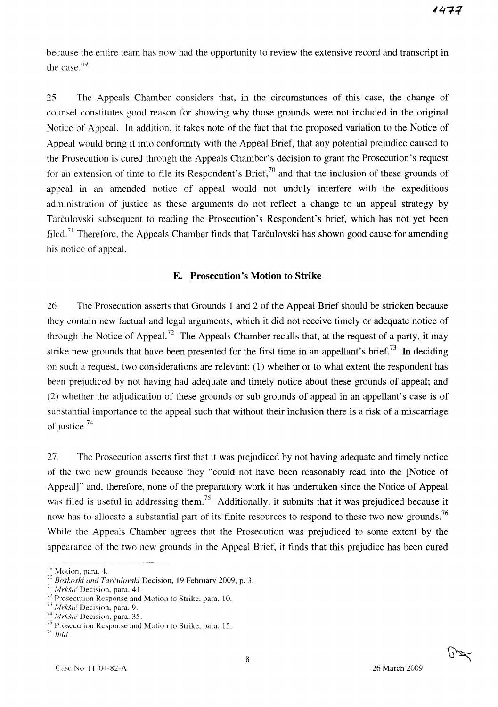because the entire team has now had the opportunity to review the extensive record and transcript in the case.<sup>69</sup>

25 The Appeals Chamber considers that, in the circumstances of this case, the change of counsel constitutes good reason for showing why those grounds were not included in the original Notice of Appeal. In addition, it takes note of the fact that the proposed variation to the Notice of Appeal would bring it into conformity with the Appeal Brief, that any potential prejudice caused to the Prosecution is cured through the Appeals Chamber's decision to grant the Prosecution's request for an extension of time to file its Respondent's Brief,  $\frac{70}{10}$  and that the inclusion of these grounds of appeal in an amended notice of appeal would not unduly interfere with the expeditious administration of justice as these arguments do not reflect a change to an appeal strategy by Tarculovski subsequent to reading the Prosecution's Respondent's brief, which has not yet been filed.<sup>71</sup> Therefore, the Appeals Chamber finds that Tarčulovski has shown good cause for amending his notice of appeal.

#### E. **Prosecution's Motion to Strike**

26 The Prosecution asserts that Grounds 1 and 2 of the Appeal Brief should be stricken because they contain new factual and legal arguments, which it did not receive timely or adequate notice of through the Notice of Appeal.<sup>72</sup> The Appeals Chamber recalls that, at the request of a party, it may strike new grounds that have been presented for the first time in an appellant's brief.<sup>73</sup> In deciding on such a request, two considerations are relevant: (1) whether or to what extent the respondent has been prejudiced by not having had adequate and timely notice about these grounds of appeal; and (2) whether the adjudication of these grounds or sub-grounds of appeal in an appellant's case is of suhstantial importance to the appeal such that without their inclusion there is a risk of a miscarriage of justice. $74$ 

27. The Prosecution asserts first that it was prejudiced by not having adequate and timely notice of the two new grounds because they "could not have been reasonably read into the [Notice of Appeal]" and. therefore, none of the preparatory work it has undertaken since the Notice of Appeal was filed is useful in addressing them.<sup>75</sup> Additionally, it submits that it was prejudiced because it now has to allocate a substantial part of its finite resources to respond to these two new grounds.<sup>76</sup> While the Appeals Chamber agrees that the Prosecution was prejudiced to some extent by the appearance of the two new grounds in the Appeal Brief, it finds that this prejudice has been cured

 $<sup>69</sup>$  Motion, para. 4.</sup>

<sup>7()</sup> *BO.5koski and Tarculovski* Decision, 19 February 2009, p. 3.

 $71$  Mrkšić Decision, para. 41.

 $72$  Prosecution Response and Motion to Strike, para. 10.

<sup>&</sup>lt;sup>73</sup> Mrkšić Decision, para. 9.

<sup>&</sup>lt;sup>74</sup> Mrkšić Decision, para. 35.

 $75$  Prosecution Response and Motion to Strike, para. 15.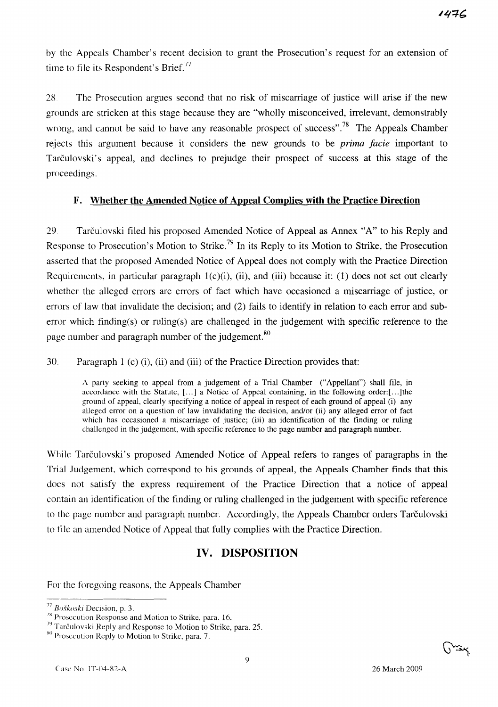by the Appeals Chamber's recent decision to grant the Prosecution's request for an extension of time to file its Respondent's Brief.<sup>77</sup>

2S The Prosecution argues second that no risk of miscarriage of justice will arise if the new grounds are stricken at this stage because they are "wholly misconceived, irrelevant, demonstrably wrong, and cannot be said to have any reasonable prospect of success".<sup>78</sup> The Appeals Chamber rejects this argument because it considers the new grounds to be *prima facie* important to Tarculovski's appeal, and declines to prejudge their prospect of success at this stage of the proceedings.

## **F. Whether the Amended Notice of Appeal Complies with the Practice Direction**

29. Tarculovski filed his proposed Amended Notice of Appeal as Annex "A" to his Reply and Response to Prosecution's Motion to Strike.<sup>79</sup> In its Reply to its Motion to Strike, the Prosecution asserted that the proposed Amended Notice of Appeal does not comply with the Practice Direction Requirements, in particular paragraph  $1(c)(i)$ , (ii), and (iii) because it: (1) does not set out clearly whether the alleged errors are errors of fact which have occasioned a miscarriage of justice, or errors of law that invalidate the decision; and (2) fails to identify in relation to each error and suberror which finding(s) or ruling(s) are challenged in the judgement with specific reference to the page number and paragraph number of the judgement.<sup>80</sup>

30. Paragraph 1 (c) (i), (ii) and (iii) of the Practice Direction provides that:

A party seeking to appeal from a judgement of a Trial Chamber ("Appellant") shall file, in accordance with the Statute, [...] a Notice of Appeal containing, in the following order:[...]the ground of appeal, clearly specifying a notice of appeal in respect of each ground of appeal (i) any alleged error on a question of law invalidating the decision, and/or (ii) any alleged error of fact which has occasioned a miscarriage of justice; (iii) an identification of the finding or ruling challenged in the judgement, with specific reference to the page number and paragraph number.

While Tarčulovski's proposed Amended Notice of Appeal refers to ranges of paragraphs in the Trial Judgement, which correspond to his grounds of appeal, the Appeals Chamber finds that this does not satisfy the express requirement of the Practice Direction that a notice of appeal contain an identification of the finding or ruling challenged in the judgement with specific reference to the page number and paragraph number. Accordingly, the Appeals Chamber orders Tarčulovski to file an amended Notice of Appeal that fully complies with the Practice Direction.

# **IV. DISPOSITION**

For the foregoing reasons, the Appeals Chamber



*<sup>77</sup> Bo§koski* Decision. p. 3.

<sup>&</sup>lt;sup>78</sup> Prosecution Response and Motion to Strike, para. 16.

<sup>&</sup>lt;sup>79</sup> Tarčulovski Reply and Response to Motion to Strike, para. 25.

xo Prosecution Reply to Motion to Strike, para. 7.